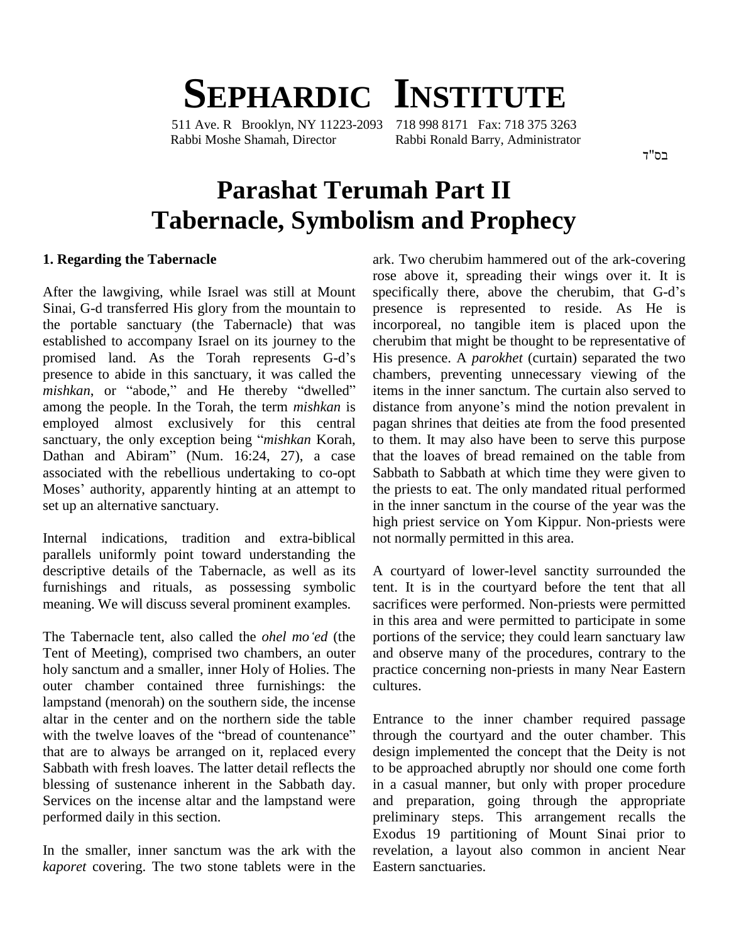## **SEPHARDIC INSTITUTE** 511 Ave. R Brooklyn, NY 11223-2093 718 998 8171 Fax: 718 375 3263

Rabbi Moshe Shamah, Director Rabbi Ronald Barry, Administrator

רח"ד

# **Parashat Terumah Part II Tabernacle, Symbolism and Prophecy**

#### **1. Regarding the Tabernacle**

Sinai, G-d transferred His glory from the mountain to the portable sanctuary (the Tabernacle) that was established to accompany Israel on its journey to the the portable sanctuary (the Tabernacle) that was inco<br>established to accompany Israel on its journey to the cher<br>promised land. As the Torah represents G-d's His presence to abide in this sanctuary, it was called the promised land. As the Torah represents G-d's His presence to abide in this sanctuary, it was called the cham mishkan, or "abode," and He thereby "dwelled" items among the people. In the Torah, the term *mishkan* is distance from anyone's mind the notion prevalent in employed almost exclusively for this central among the people. In the Torah, the term *mishkan* is diemployed almost exclusively for this central pasanctuary, the only exception being "*mishkan* Korah, employed almost exclusively for this central pagar<br>sanctuary, the only exception being "mishkan Korah, to the<br>Dathan and Abiram" (Num. 16:24, 27), a case that associated with the rebellious undertaking to co-opt Dathan and Abiram" (Num. 16:24, 27), a case<br>associated with the rebellious undertaking to co-opt<br>Moses' authority, apparently hinting at an attempt to set up an alternative sanctuary.

Internal indications, tradition and extra-biblical parallels uniformly point toward understanding the descriptive details of the Tabernacle, as well as its furnishings and rituals, as possessing symbolic meaning. We will discuss several prominent examples. sacrition<br>in this<br>The Tabernacle tent, also called the *ohel mo 'ed* (the portion

Tent of Meeting), comprised two chambers, an outer holy sanctum and asmaller, inner Holy of Holies. The outer chamber contained three furnishings: the lampstand (menorah) on the southern side, the incense<br>altar in the center and on the northern side the table Entra<br>with the twelve loaves of the "bread of countenance" throu altar in the center and on the northern side the table<br>with the twelve loaves of the "bread of countenance" that are to always be arranged on it, replaced every Sabbath with fresh loaves. The latter detail reflects the blessing of sustenance inherent in the Sabbath day. Services on the incense altar and the lampstand were performed daily in this section.

In the smaller, inner sanctum was the ark with the *kaporet* covering. The two stone tablets were in the

After the lawgiving, while Israel was still at Mount specifically there, above the cherubim, that G-d's ark. Two cherubim hammered out of the ark-covering rose above it, spreading their wings over it. It is ark. Two cherubim hammered out of the ark-covering<br>rose above it, spreading their wings over it. It is<br>specifically there, above the cherubim, that G-d's presence is represented to reside. As He is incorporeal, no tangible item is placed upon the cherubim that might be thought to be representative of His presence. A *parokhet* (curtain) separated the two chambers, preventing unnecessary viewing of the items in the inner sanctum. The curtain also served to distance from anyone's mind the notion prevalent in items in the inner sanctum. The curtain also served to pagan shrines that deities ate from the food presented to them. It may also have been to serve this purpose that the loaves of bread remained on the table from Sabbath to Sabbath at which time they were given to the priests to eat. The only mandated ritual performed in the inner sanctum in the course of the year was the high priest service on Yom Kippur. Non-priests were not normally permitted in this area.

> A courtyard of lower-level sanctity surrounded the tent. It is in the courtyard before the tent that all sacrifices were performed. Non-priests were permitted in this area and were permitted to participate in some portions of the service; they could learn sanctuary law and observe many of the procedures, contrary to the practice concerning non-priests in many Near Eastern cultures.

> Entrance to the inner chamber required passage through the courtyard and the outer chamber. This design implemented the concept that the Deity is not to be approached abruptly nor should one come forth in a casual manner, but only with proper procedure and preparation, going through the appropriate preliminary steps. This arrangement recalls the Exodus 19 partitioning of Mount Sinai prior to revelation, a layout also common in ancient Near Eastern sanctuaries.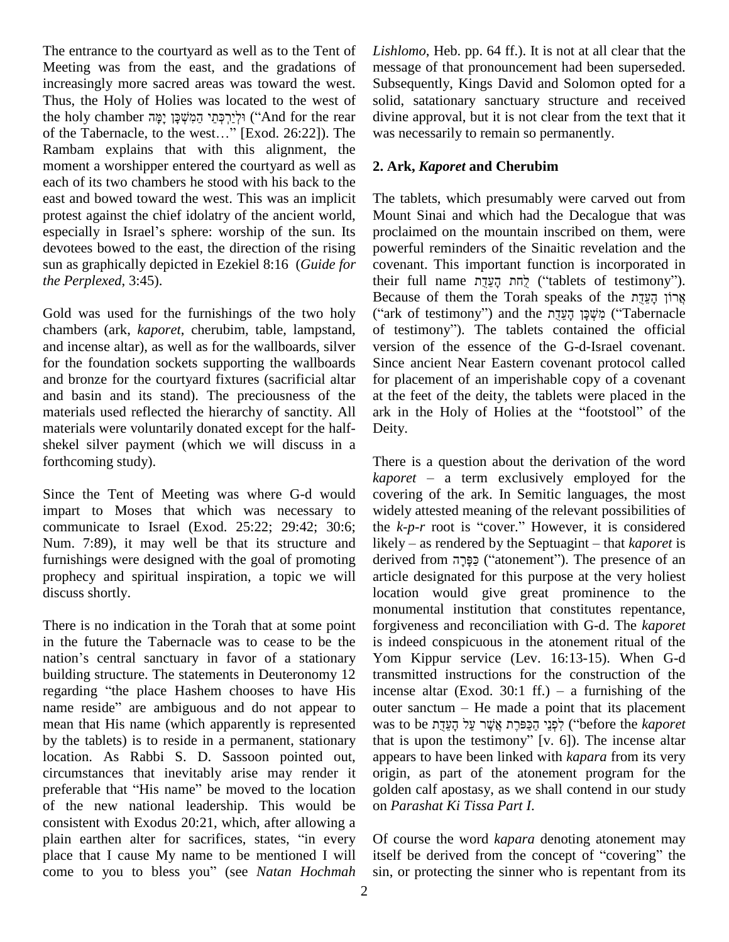The entrance to the courtyard as well as to the Tent of Meeting was from the east, and the gradations of increasingly more sacred areas was toward the west. Thus, the Holy of Holies was located to the west of soli the west. Sulfamber sacred areas was toward the west. Sulfamber areas was located to the west of sol<br>the holy chamber וֹלְיֵרְכְּתֵי הַמִּשְׁכָּן יָמָּה and for the rear div Fhus, the Holy of Holies was located to the west of solid.<br>the holy chamber יִמְהָ יָמָה הַמְשְׁכָּן יָמָּה (And for the rear divin<br>of the Tabernacle, to the west...'' [Exod. 26:22]). The was r Rambam explains that with this alignment, the moment a worshipper entered the courtyard as well as each of its two chambers he stood with his back to the east and bowed toward the west. This was an implicit protest against the chief idolatry of the ancient world, especially in Israel's sphere: worship of the sun. Its devotees bowed to the east, the direction of the rising sun as graphically depicted in Ezekiel 8:16 (*Guide for the Perplexed*, 3:45).

Gold was used for the furnishings of the two holy chambers (ark, *kaporet*, cherubim, table, lampstand, and incense altar), as well as for the wallboards, silver for the foundation sockets supporting the wallboards and bronze for the courtyard fixtures (sacrificial altar and basin and its stand). The preciousness of the materials used reflected the hierarchy of sanctity. All materials were voluntarily donated except for the half shekel silver payment (which we will discuss in a forthcoming study).

Since the Tent of Meeting was where G-d would impart to Moses that which was necessary to communicate to Israel (Exod. 25:22; 29:42; 30:6; Num. 7:89), it may well be that its structure and likely – as rendered by the Septuagint – that *kaporet* is furnishings were designed with the goal of promoting prophecy and spiritual inspiration, a topic we will discuss shortly.

There is no indication in the Torah that at some point in the future the Tabernacle was to cease to be the There is no indication in the Torah that at some point forgiv<br>in the future the Tabernacle was to cease to be the is inde<br>nation's central sanctuary in favor of a stationary Yom building structure. The statements in Deuteronomy 12 nation's central sanctuary in favor of a stationary regarding "the place Hashem chooses to have His incense altar (Exod. 30:1 ff.) – a furnishing of the name reside" are ambiguous and do not appear to outer sanctum – He made a point that its placement mean that His name (which apparently is represented by the tablets) is to reside in a permanent, stationary location. As Rabbi S. D. Sassoon pointed out, circumstances that inevitably arise may render it preferable that "His name" be moved to the location of the new national leadership. This would be consistent with Exodus 20:21, which, after allowing a of the new national leadership. This would be on Pass<br>consistent with Exodus 20:21, which, after allowing a<br>plain earthen alter for sacrifices, states, "in every Of co place that I cause My name to be mentioned I will plain earthen alter for sacrifices, states, "in every place that I cause My name to be mentioned I will come to you to bless you" (see *Natan Hochmah* 

*Lishlomo*, Heb. pp. 64 ff.). It is not at all clear that the message of that pronouncement had been superseded. Subsequently, Kings David and Solomon opted for a solid, satationary sanctuary structure and received divine approval, but it is not clear from the text that it was necessarily to remain so permanently.

### **2. Ark,** *Kaporet* **and Cherubim**

The tablets, which presumably were carved out from Mount Sinai and which had the Decalogue that was proclaimed on the mountain inscribed on them, were powerful reminders of the Sinaitic revelation and the covenant. This important function is incorporated in powerful reminders of the Sinaitic revelation and the covenant. This important function is incorporated in their full name  $\frac{1}{2}$ לֶחת הָעֲדֶת ("tablets of testimony"). covenant. This important function is incorporated in<br>their full name אֲרֹוֹן הָעֲדֶת הָעֲדָת ("tablets of testimony").<br>Because of them the Torah speaks of the אֲרֹוֹן הָעֲדֶת their full name הֲעֵדֶּת הָעֲדֶת הָעֲדֶת (''tablets of testimony'').<br>Because of them the Torah speaks of the אֲרוֹן הָעֲדֶת<br>יִמְשָׁכָּן הָעֲדֶת grid the מִשְׁכָּן הָעֲדָת) ('Tabernacle אֲרוֹן הָעֵדֶת Eecause of them the Torah speaks of the<br>יְמִשְׁכָּן הָעֲדָת מִי (''Tabernacle'') and the מִשְׁכָּן הָעֲדָת (''Tabernacle'). The tablets contained the official version of the essence of the G-d-Israel covenant. Since ancient Near Eastern covenant protocol called for placement of an imperishable copy of a covenant at the feet of the deity, the tablets were placed in the ark in the Holy of Holies at the "footstool" of the Deity.

There is a question about the derivation of the word There is a question about the derivation of the word  $kaporet - a$  term exclusively employed for the covering of the ark. In Semitic languages, the most widely attested meaning of the relevant possibilities of covering of the ark. In Semitic languages, the most<br>widely attested meaning of the relevant possibilities of<br>the *k-p-r* root is "cover." However, it is considered widely attested meaning of the relevant possibilities of<br>the *k-p-r* root is "cover." However, it is considered<br>likely – as rendered by the Septuagint – that *kaporet* is the  $k$ -*p*-*r* root is "cover." However, it is considered likely – as rendered by the Septuagint – that *kaporet* is derived from  $\frac{1}{2}$  ("atonement"). The presence of an article designated for this purpose at the very holiest location would give great prominence to the monumental institution that constitutes repentance, forgiveness and reconciliation with G-d. The *kaporet* is indeed conspicuous in the atonement ritual of the Yom Kippur service (Lev. 16:13-15). When G-d transmitted instructions for the construction of the incense altar (Exod. 30:1 ff.) – a furnishing of the transmitted instructions for the construction of the transmitted instructions for the construction of the incense altar (Exod. 30:1 ff.) – a furnishing of the outer sanctum – He made a point that its placement incense altar (Exod. 30:1 ff.) – a furnishing of the<br>outer sanctum – He made a point that its placement<br>was to be עֲלֹעֲרָ עֲלֹ שֶׁנוּ הַפַּפִּרֶת אֲשֶׁר עֲל that is upon the testimony" [v.  $6$ ]). The incense altar appears to have been linked with *kapara* from its very origin, as part of the atonement program for the golden calf apostasy, as we shall contend in our study on *Parashat Ki Tissa Part I*.

Of course the word *kapara* denoting atonement may itself be derived from the concept of "covering" the sin, or protecting the sinner who is repentant from its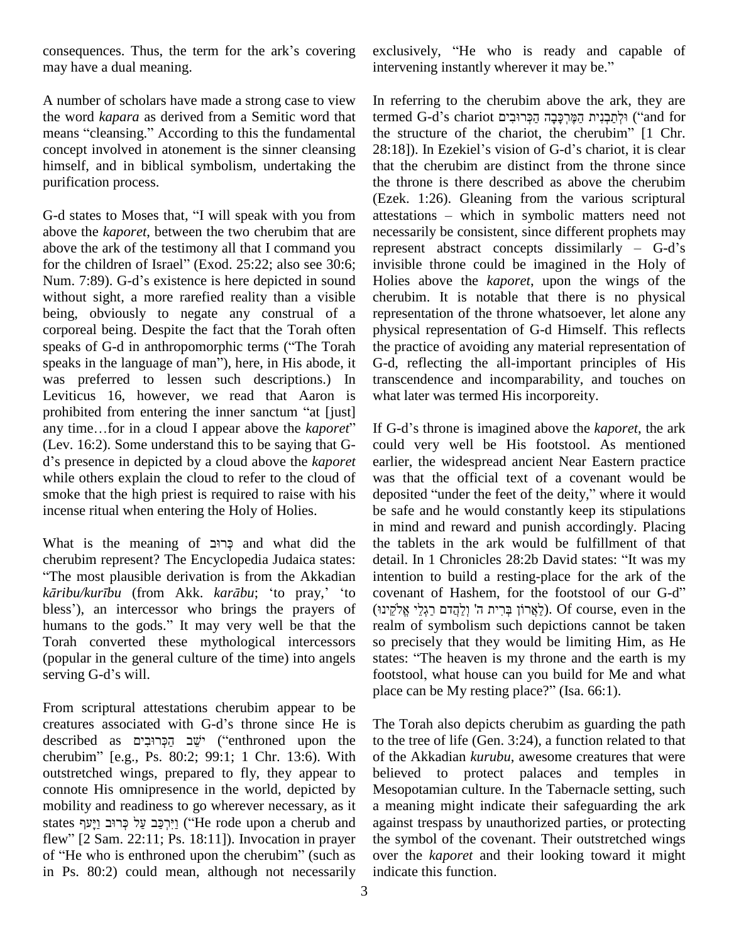consequences. Thus, the term for the ark's covering may have a dual meaning.

A number of scholars have made a strong case to view the word *kapara* as derived from a Semitic word that means "cleansing." According to this the fundamental concept involved in atonement is the sinner cleansing 28:18]). In Ezekiel's vision of G-d's chariot, it is clear himself, and in biblical symbolism, undertaking the purification process.

G-d states to Moses that, "I will speak with you from above the *kaporet*, between the two cherubim that are above the ark of the testimony all that I command you above the *kaporet*, between the two cherubim that are neabove the ark of the testimony all that I command you report the children of Israel" (Exod. 25:22; also see 30:6; in above the ark of the testimony all that I command you repres<br>for the children of Israel" (Exod. 25:22; also see 30:6; invisit<br>Num. 7:89). G-d's existence is here depicted in sound Holies without sight, a more rarefied reality than a visible being, obviously to negate any construal of a repres corporeal being. Despite the fact that the Torah often physic speaks of G-d in anthropomorphic terms ("The Torah the pra corporeal being. Despite the fact that the Torah often physic<br>speaks of G-d in anthropomorphic terms ("The Torah the pra<br>speaks in the language of man"), here, in His abode, it G-d, was preferred to lessen such descriptions.) In Leviticus 16, however, we read that Aaron is wha was preferred to lessen such descriptions.) In transleventicus 16, however, we read that Aaron is wh prohibited from entering the inner sanctum "at [just] Leviticus 16, however, we read that Aaron is what<br>prohibited from entering the inner sanctum "at [just]<br>any time...for in a cloud I appear above the *kaporet*" If G-(Lev. 16:2). Some understand this to be saying that G any time...for in a cloud I appear above the *kaporet*" (Lev. 16:2). Some understand this to be saying that G-<br>d's presence in depicted by a cloud above the *kaporet* while others explain the cloud to refer to the cloud of smoke that the high priest is required to raise with his deposited "under the feet of the deity," where it would incense ritual when entering the Holy of Holies. incense ritual when entering the Holy of Holies. be sa<br>in mi<br>What is the meaning of כְּרוּב and what did the the t

cherubim represent? The Encyclopedia Judaica states: <sup>ì</sup>The most plausible derivation is from the Akkadian *k*erubim represent? The Encyclopedia Judaica states: detail.<br> *karibu/kurību* (from Akk. *karābu*; 'to pray,' 'to coven: **The most plausible derivation is from the Akkadian** intercessive intercessor who brings the prayers of  $(ir)$  (i) kāribu/kurību (from Akk. karābu; 'to pray,' 'to cover<br>bless'), an intercessor who brings the prayers of (לקינו)<br>humans to the gods." It may very well be that the realm Torah converted these mythological intercessors so p<br>
(popular in the general culture of the time) into angels state<br>
serving G-d's will. foot (popular in the general culture of the time) into angels

From scriptural attestations cherubim appear to be plac<br>From scriptural attestations cherubim appear to be<br>creatures associated with G-d's throne since He is The From scriptural attestations cherubim appear to be<br>creatures associated with G-d's throne since He is The J<br>described as יֹשֵׁב הַפְּרוּבִים ("enthroned upon the to the creatures associated with G-d's throne since He is The T<br>described as מַכְּרוּבִים "(enthroned upon the to the<br>cherubim" [e.g., Ps. 80:2; 99:1; 1 Chr. 13:6). With of the outstretched wings, prepared to fly, they appear to connote His omnipresence in the world, depicted by mobility and readiness to go wherever necessary, as it states יִירִכָּב עַל כְּרוּב וַיַּעַף ("He rode upon a cherub and flewility and readiness to go wherever necessary, as it<br>states יִירְכָּב עַל כְּרוּב וַיָּעַף<br>flew" [2 Sam. 22:11; Ps. 18:11]). Invocation in prayer the states וֵיִּרְפַּב עַל קְרוּב עַל קְרוּב וַיָּעַר ("He rode upon a cherub and agai<br>flew" [2 Sam. 22:11; Ps. 18:11]). Invocation in prayer the sof "He who is enthroned upon the cherubim" (such as over in Ps.80:2) could mean, although not necessarily

exclusively, "He who is ready and capable of exclusively, "He who is ready and capable<br>intervening instantly wherever it may be."

In referring to the cherubim above the ark, they are termed G-d's chariot הַמֱרִכָּבָה הַכְּרוּבִים (and for In referring to the cherubim above the ark, they are<br>termed G-d's chariot הְמְרִכְּבָה הַפְּרִיּבִים הַמֶּרְאֶל ("and for<br>the structure of the chariot, the cherubim" [1 Chr. termed G-d's chariot וְלְתַּבְנִית הַמֶּרְכָּבָה הַקְּרוּבִים ("and for<br>the structure of the chariot, the cherubim" [1 Chr.<br>28:18]). In Ezekiel's vision of G-d's chariot, it is clear that the cherubim are distinct from the throne since the throne is there described as above the cherubim (Ezek. 1:26). Gleaning from the various scriptural attestations – which in symbolic matters need not necessarily be consistent, since different prophets may represent abstract concepts dissimilarly  $-$  G-d's invisible throne could be imagined in the Holy of Holies above the *kaporet*, upon the wings of the cherubim. It is notable that there is no physical representation of the throne whatsoever, let alone any physical representation of G-d Himself. This reflects the practice of avoiding any material representation of G-d, reflecting the all-important principles of His transcendence and incomparability, and touches on what later was termed His incorporeity.

If G-d's throne is imagined above the *kaporet*, the ark could very well be His footstool. As mentioned earlier, the widespread ancient Near Eastern practice was that the official text of a covenant would be deposited "under the feet of the deity," where it would was that the official text of a covenant would be be safe and he would constantly keep its stipulations in mind and reward and punish accordingly. Placing<br>the tablets in the ark would be fulfillment of that<br>detail. In 1 Chronicles 28:2b David states: "It was my the tablets in the ark would be fulfillment of that intention to build a resting-place for the ark of the ʤdetail. In 1 Chronicles 28:2b David states: "It was my<br>intention to build a resting-place for the ark of the<br>covenant of Hashem, for the footstool of our G-d" intention to build a resting-place for the ark of the<br>covenant of Hashem, for the footstool of our G-d"<br>לְאֲרוֹן בְּרִית ה' וְלַהֲדם רַגְלֵי אֱלֹקֵינוּ). Of course, even in the realm of symbolism such depictions cannot be taken<br>so precisely that they would be limiting Him, as He<br>states: "The heaven is my throne and the earth is my so precisely that they would be limiting Him, as He so precisely that they would be limiting Him, as He states: "The heaven is my throne and the earth is my footstool, what house can you build for Me and what states: "The heaven is my throne and the earth<br>footstool, what house can you build for Me and<br>place can be My resting place?" (Isa. 66:1).

The Torah also depicts cherubim as guarding the path to the tree of life (Gen. 3:24), a function related to that of the Akkadian *kurubu*, awesome creatures that were believed to protect palaces and temples in Mesopotamian culture. In the Tabernacle setting, such a meaning might indicate their safeguarding the ark against trespass by unauthorized parties, or protecting the symbol of the covenant. Their outstretched wings over the *kaporet* and their looking toward it might indicate this function.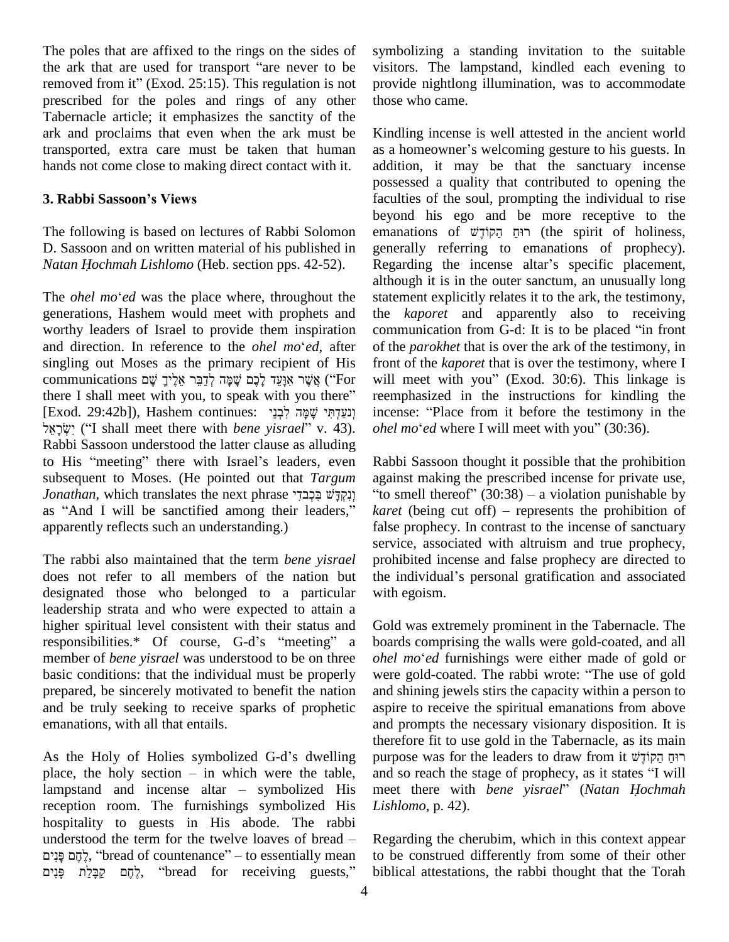The poles that are affixed to the rings on the sides of syn The poles that are affixed to the rings on the sides of symb<br>the ark that are used for transport "are never to be visite The poles that are affixed to the rings on the sides of sy<br>the ark that are used for transport "are never to be vis<br>removed from it" (Exod. 25:15). This regulation is not prescribed for the poles and rings of any other Tabernacle article; it emphasizes the sanctity of the ark and proclaims that even when the ark must be transported, extra care must be taken that human hands not come close to making direct contact with it. **3. Rabbi Sassoonís Views**

The following is based on lectures of Rabbi Solomon D. Sassoon and on written material of his published in The following is based on lectures of Rabbi Solomon D. Sassoon and on written material of his published in *Natan Hochmah Lishlomo* (Heb. section pps. 42-52).

generations, Hashem would meet with prophets and the *k* worthy leaders of Israel to provide them inspiration comm<br>and direction. In reference to the *ohel mo*<sup>e</sup>ed, after of the worthy leaders of Israel to provide them inspiration communication from G-d: It is to be placed "in front singling out Moses as the primary recipient of His and direction. In reference to the *ohel mo*<sup>*'ed*</sup>, after of the *parokhet* that is over the ark of the testimony, in singling out Moses as the primary recipient of His front of the *kaporet* that is over the testimony, singling out Moses as the primary recipient of His<br>
communications אֲשֶׁר אִנְעֵד לָכֶם שָׁמָּה לְדַבֵּר אֵלֶיךָ שָׁם ("For will there I shall meet with you, to speak with you there" reem communications אֱשֶׁר אִוָּעֵד לָכֶם שָׁמָּה לְדַבֵּר אֵלֶיךָ שָׁם ("For with you there I shall meet with you, to speak with you there" re<br>[Exod. 29:42b]), Hashem continues: יָבְנֵי שָׁמָּה לִבְנֵי i shall meet with you, to speak with you there" re<br>29:42b]), Hashem continues: יְנַעֲדְתִּי שָׁמָּה לְּבְנֵי<br>in ("I shall meet there with *bene yisrael*" v. 43). Rabbi Sassoon understood the latter clause as alluding יִשְׂרָאֵל ("I shall meet there with *bene yisrael*" v. 43). *ohel n*<br>Rabbi Sassoon understood the latter clause as alluding<br>to His "meeting" there with Israel's leaders, even Rabbi subsequent to Moses. (He pointed out that *Targum* against ma<br>
Jonathan, which translates the next phrase בְּכְבֹּדִי בְּיָבוּדִי "to smell as "And I will be sanctified among their leaders," karet (bei to His "meeting" there with Israel's leaders, even Rabbi Sassoon thought it possible that the prohibition subsequent to Moses. (He pointed out that *Targum* against making the prescribed incense for private use, *Jonathan* apparently reflects such an understanding.)

The rabbi also maintained that the term *bene yisrael* does not refer to all members of the nation but the individual's personal gratification and associated designated those who belonged to a particular leadership strata and who were expected to attain a higher spiritual level consistent with their status and Gold leadership strata and who were expected to attain a<br>higher spiritual level consistent with their status and Gold<br>responsibilities.\* Of course, G-d's "meeting" a board member of *bene yisrael* was understood to be on three *ohel mo'ed* furnishings were either made of gold or basic conditions: that the individual must be properly were gold-coated. The rabbi wrote: "The use of gold prepared, be sincerely motivated to benefit the nation and be truly seeking to receive sparks of prophetic emanations, with all that entails.

As the Holy of Holies symbolized G-d's dwelling purpose was for the leaders to draw from it רוּחַ הַקוֹדָשׁ Ho th<br>As the Holy of Holies symbolized G-d's dwelling pi<br>place, the holy section – in which were the table, an As the Holy of Holies symbolized G-d's dwelling purplace, the holy section – in which were the table, and lampstand and incense altar – symbolized His mee reception room. The furnishings symbolized His hospitality to guests in His abode. The rabbi reception room. The furnishings symbolized His *Lishlo*<br>hospitality to guests in His abode. The rabbi<br>understood the term for the twelve loaves of bread – Regare ritality to guests in His abode. The rabbi erstood the term for the twelve loaves of bread – Regard  $\frac{1}{2}$ , "bread of countenance" – to essentially mean to be understood the term for the twelve loaves of bread -ֶלֶתֶם פָּנִים (head of countenance" – to essentially mean "לֶתֶם בִּנִים"), ``` bread \_ for receiving \_\_\_\_\_\_guests,

symbolizing a standing invitation to the suitable visitors. The lampstand, kindled each evening to provide nightlong illumination, was to accommodate those who came.

*Natan Hochmah Lishlomo* (Heb. section pps. 42-52). Regarding the incense altar's specific placement, although it is in the outer sanctum, an unusually long The *ohel mo'ed* was the place where, throughout the statement ex Kindling incense is well attested in the ancient world as a homeowner's welcoming gesture to his guests. In addition, it may be that the sanctuary incense possessed a quality that contributed to opening the faculties of the soul, prompting the individual to rise beyond his ego and be more receptive to the faculties of the soul, prompting the individual to rise<br>beyond his ego and be more receptive to the<br>emanations of רוּחַ הַקוֹדָשׁ (the spirit of holiness, generally referring to emanations of prophecy). emanations of  $\psi$ רוּח הקוֹדָ $\psi$  (the spirit of holiness, although it is in the outer sanctum, an unusually long statement explicitly relates it to the ark, the testimony, the *kaporet* and apparently also to receiving statement explicitly relates it to the ark, the testimony,<br>the *kaporet* and apparently also to receiving<br>communication from G-d: It is to be placed "in front of the *parokhet* that is over the ark of the testimony, in front of the *kaporet* that is over the testimony, where I of the *parokhet* that is over the ark of the testimony, in<br>front of the *kaporet* that is over the testimony, where I<br>will meet with you" (Exod. 30:6). This linkage is reemphasized in the instructions for kindling the will meet with you" (Exod. 30:6). This linkage is<br>reemphasized in the instructions for kindling the<br>incense: "Place from it before the testimony in the reemphasized in the instructions for kindling the<br>incense: "Place from it before the testimony in the<br>*ohel mo*'ed where I will meet with you" (30:36).

> Rabbi Sassoon thought it possible that the prohibition<br>against making the prescribed incense for private use,<br>"to smell thereof" (30:38) – a violation punishable by *karet* (being cut off) – represents the prohibition of false prophecy. In contrast to the incense of sanctuary service, associated with altruism and true prophecy, prohibited incense and false prophecy are directed to the individual's personal gratification and associated prohibited incense and false prophecy are directed to with egoism.

> Gold was extremely prominent in the Tabernacle. The boards comprising the walls were gold-coated, and all Gold was extremely prominent in the Tabernacle. The boards comprising the walls were gold-coated, and all *ohel mo*<sup>\*</sup>*ed* furnishings were either made of gold or boards comprising the walls were gold-coated, and all *ohel mo'ed* furnishings were either made of gold or were gold-coated. The rabbi wrote: "The use of gold and shining jewels stirs the capacity within a person to aspire to receive the spiritual emanations from above and prompts the necessary visionary disposition. It is<br>therefore fit to use gold in the Tabernacle, as its main<br>רוּחַ הַקוֹדָשׁ righter הוּחַ הַקוֹדָשׁ therefore fit to use gold in the Tabernacle, as its main<br>רוּחַ הַקוֹדָשׁ and so reach the stage of prophecy, as it states "I will meet there with *bene yisrael*<sup>î</sup> (*Natan <sup>H</sup>ochmah Lishlomo*, p. 42).

Regarding the cherubim, which in this context appear to be construed differently from some of their other biblical attestations, the rabbi thought that the Torah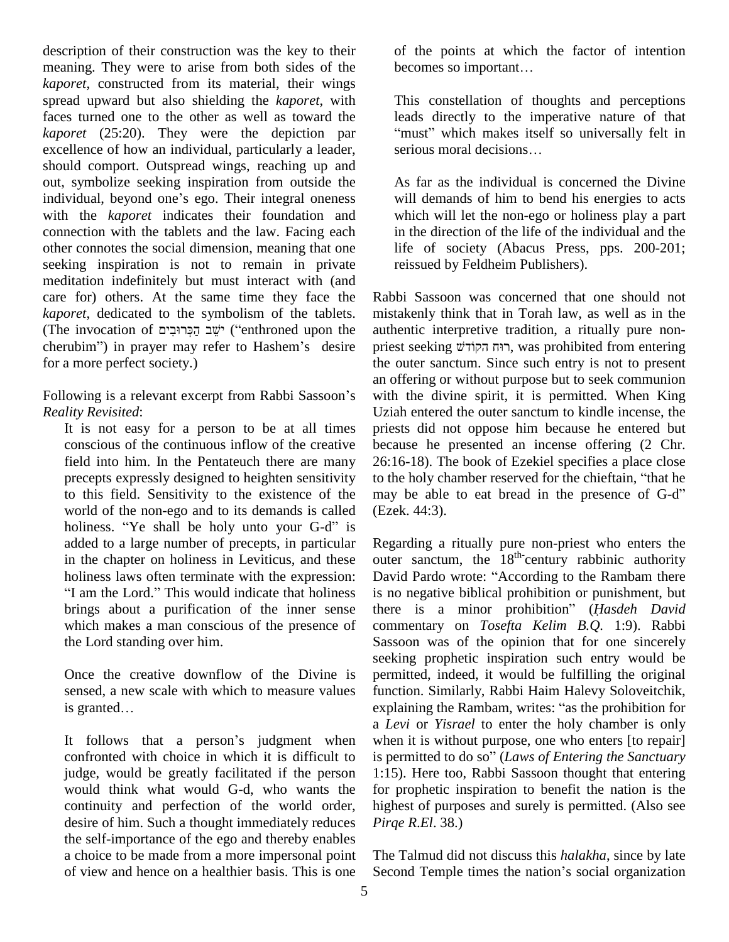description of their construction was the key to their meaning. They were to arise from both sides of the becomes so important... *kaporet*, constructed from its material, their wings spread upward but also shielding the *kaporet*, with faces turned one to the other as well as toward the *kaporet* (25:20). They were the depiction par excellence of how an individual, particularly a leader, should comport. Outspread wings, reaching up and<br>
out, symbolize seeking inspiration from outside the<br>
individual, beyond one's ego. Their integral oneness wi out, symbolize seeking inspiration from outside the with the *kaporet* indicates their foundation and connection with the tablets and the law. Facing each other connotes the social dimension, meaning that one seeking inspiration is not to remain in private meditation indefinitely but must interact with (and care for) others. At the same time they face the *kaporet*, dedicated to the symbolism of the tablets. care for) others. At the same time they face the Rabb<br>kaporet, dedicated to the symbolism of the tablets. mista<br>(The invocation of יָשֵׁב הַפְּרוּבִים) ("enthroned upon the authe kaporet, dedicated to the symbolism of the tablets. mista<br>(The invocation of יָשֵׁב הַכְּרוּבִים) ("enthroned upon the authe<br>cherubim") in prayer may refer to Hashem's desire pries for a more perfect society.)

Following is a relevant excerpt from Rabbi Sassoon's *Reality Revisited*:

It is not easy for a person to be at all times conscious of the continuous inflow of the creative field into him. In the Pentateuch there are many to this field. Sensitivity to the existence of the world of the non-ego and to its demands is called holiness. "Ye shall be holy unto your G-d" is added to a large number of precepts, in particular in the chapter on holiness in Leviticus, and these outer<br>holiness laws often terminate with the expression: Davies<br>"I am the Lord." This would indicate that holiness is no brings about a purification of the inner sense which makes a man conscious of the presence of the Lord standing over him.

Once the creative downflow of the Divine is pern<br>sensed, a new scale with which to measure values func<br>is granted... expl sensed, a new scale with which to measure values

judge, would be greatly facilitated if the person would think what would G-d, who wants the continuity and perfection of the world order, desire of him. Such a thought immediately reduces the self-importance of the ego and thereby enables a choice to be made from a more impersonal point of view and hence on a healthier basis. This is one of the points at which the factor of intention of the points at which the factor of is<br>becomes so important...

This constellation of thoughts and perceptions This constellation of thoughts and perceptions<br>leads directly to the imperative nature of that<br>"must" which makes itself so universally felt in leads directly to the imperative nature of "must" which makes itself so universally serious moral decisions...

As far as the individual is concerned the Divine will demands of him to bend his energies to acts which will let the non-ego or holiness play a part in the direction of the life of the individual and the life of society (Abacus Press, pps. 200-201; reissued by Feldheim Publishers).

precepts expressly designed to heighten sensitivity to the holy chamber reserved for the chieftain, "that he Rabbi Sassoon was concerned that one should not mistakenly think that in Torah law, as well as in the authentic interpretive tradition, a ritually pure non priest seeking רוּח הקוֹדשׁ, was prohibited from entering the outer sanctum. Since such entry is not to present an offering or without purpose but to seek communion with the divine spirit, it is permitted. When King Uziah entered the outer sanctum to kindle incense, the priests did not oppose him because he entered but because he presented an incense offering (2 Chr. 26:16-18). The book of Ezekiel specifies a place close to the holy chamber reserved for the chieftain, "that he 26:16-18). The book of Ezekiel specifies a place close may be able to eat bread in the presence of G-d" (Ezek. 44:3).

It follows that a person's judgment when when it is without purpose, one who enters [to repair] confronted with choice in which it is difficult to is permitted to do so" (Laws of Entering the Sanctuary Regarding a ritually pure non-priest who enters the outer sanctum, the  $18<sup>th</sup>$  century rabbinic authority Regarding a ritually pure non-priest who enters the<br>outer sanctum, the 18<sup>th-</sup>century rabbinic authority<br>David Pardo wrote: "According to the Rambam there is no negative biblical prohibition or punishment, but David Pardo wrote: "According to the Rambam there is no negative biblical prohibition or punishment, but there is a minor prohibition" (*Hasdeh David* commentary on *Tosefta Kelim B.Q.* 1:9). Rabbi Sassoon was of the opinion that for one sincerely seeking prophetic inspiration such entry would be permitted, indeed, it would be fulfilling the original function. Similarly, Rabbi Haim Halevy Soloveitchik, explaining the Rambam, writes: "as the prohibition for function. Similarly, Rabbi Haim Halevy Soloveitchik, a *Levi* or *Yisrael* to enter the holy chamber is only is permitted to do so<sup>î</sup> (*Laws of Entering the Sanctuary* when it is without purpose, one who enters [to repair] 1:15). Here too, Rabbi Sassoon thought that entering for prophetic inspiration to benefit the nation is the highest of purposes and surely is permitted. (Also see *Pirqe R*.*El*. 38.)

> The Talmud did not discuss this *halakha*, since by late Second Temple times the nation's social organization